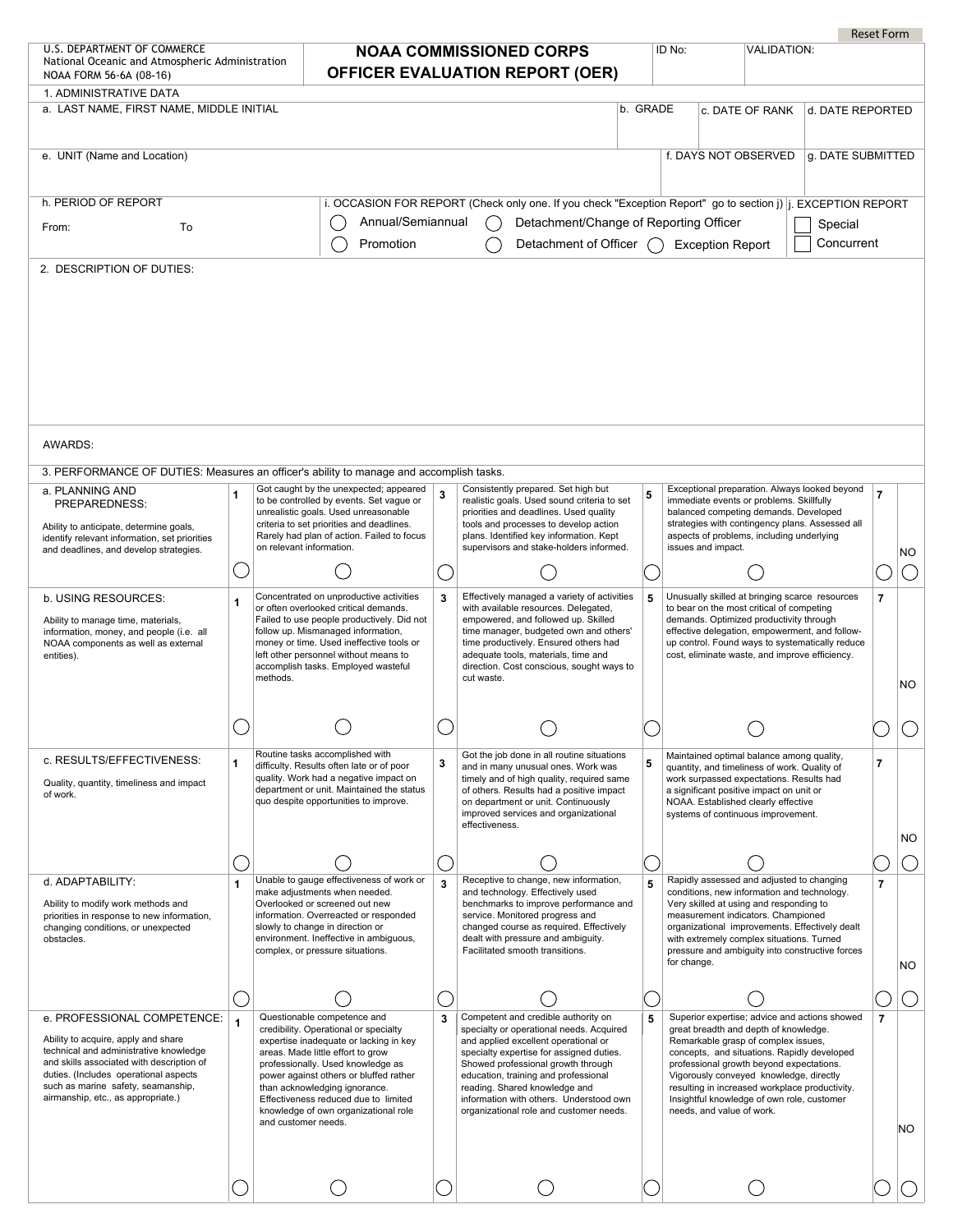|                                                                                                                                                                                                                                                                                |   |                                                                                                                                                                                                                                                                                                                                                                            |        |                                                                                                                                                                                                                                                                                                                                                                          |          |                                                                                                                       |                                                                                                                                                                                                                                                                                                                              | <b>Reset Form</b> |     |
|--------------------------------------------------------------------------------------------------------------------------------------------------------------------------------------------------------------------------------------------------------------------------------|---|----------------------------------------------------------------------------------------------------------------------------------------------------------------------------------------------------------------------------------------------------------------------------------------------------------------------------------------------------------------------------|--------|--------------------------------------------------------------------------------------------------------------------------------------------------------------------------------------------------------------------------------------------------------------------------------------------------------------------------------------------------------------------------|----------|-----------------------------------------------------------------------------------------------------------------------|------------------------------------------------------------------------------------------------------------------------------------------------------------------------------------------------------------------------------------------------------------------------------------------------------------------------------|-------------------|-----|
| U.S. DEPARTMENT OF COMMERCE<br>National Oceanic and Atmospheric Administration<br>NOAA FORM 56-6A (08-16)                                                                                                                                                                      |   |                                                                                                                                                                                                                                                                                                                                                                            |        | <b>NOAA COMMISSIONED CORPS</b><br><b>OFFICER EVALUATION REPORT (OER)</b>                                                                                                                                                                                                                                                                                                 |          | ID No:                                                                                                                | <b>VALIDATION:</b>                                                                                                                                                                                                                                                                                                           |                   |     |
| 1. ADMINISTRATIVE DATA<br>a. LAST NAME, FIRST NAME, MIDDLE INITIAL                                                                                                                                                                                                             |   |                                                                                                                                                                                                                                                                                                                                                                            |        |                                                                                                                                                                                                                                                                                                                                                                          | b. GRADE | c. DATE OF RANK                                                                                                       | d. DATE REPORTED                                                                                                                                                                                                                                                                                                             |                   |     |
| e. UNIT (Name and Location)                                                                                                                                                                                                                                                    |   |                                                                                                                                                                                                                                                                                                                                                                            |        |                                                                                                                                                                                                                                                                                                                                                                          |          | f. DAYS NOT OBSERVED                                                                                                  | g. DATE SUBMITTED                                                                                                                                                                                                                                                                                                            |                   |     |
| h. PERIOD OF REPORT                                                                                                                                                                                                                                                            |   |                                                                                                                                                                                                                                                                                                                                                                            |        | i. OCCASION FOR REPORT (Check only one. If you check "Exception Report" go to section j) i. EXCEPTION REPORT                                                                                                                                                                                                                                                             |          |                                                                                                                       |                                                                                                                                                                                                                                                                                                                              |                   |     |
| To<br>From:                                                                                                                                                                                                                                                                    |   | Annual/Semiannual<br>Promotion                                                                                                                                                                                                                                                                                                                                             |        | Detachment/Change of Reporting Officer<br>Detachment of Officer ( Exception Report                                                                                                                                                                                                                                                                                       |          |                                                                                                                       | Special<br>Concurrent                                                                                                                                                                                                                                                                                                        |                   |     |
| 2. DESCRIPTION OF DUTIES:                                                                                                                                                                                                                                                      |   |                                                                                                                                                                                                                                                                                                                                                                            |        |                                                                                                                                                                                                                                                                                                                                                                          |          |                                                                                                                       |                                                                                                                                                                                                                                                                                                                              |                   |     |
|                                                                                                                                                                                                                                                                                |   |                                                                                                                                                                                                                                                                                                                                                                            |        |                                                                                                                                                                                                                                                                                                                                                                          |          |                                                                                                                       |                                                                                                                                                                                                                                                                                                                              |                   |     |
| AWARDS:                                                                                                                                                                                                                                                                        |   |                                                                                                                                                                                                                                                                                                                                                                            |        |                                                                                                                                                                                                                                                                                                                                                                          |          |                                                                                                                       |                                                                                                                                                                                                                                                                                                                              |                   |     |
| 3. PERFORMANCE OF DUTIES: Measures an officer's ability to manage and accomplish tasks.                                                                                                                                                                                        |   |                                                                                                                                                                                                                                                                                                                                                                            |        |                                                                                                                                                                                                                                                                                                                                                                          |          |                                                                                                                       |                                                                                                                                                                                                                                                                                                                              |                   |     |
| a. PLANNING AND<br>PREPAREDNESS:<br>Ability to anticipate, determine goals,                                                                                                                                                                                                    | 1 | Got caught by the unexpected; appeared<br>to be controlled by events. Set vague or<br>unrealistic goals. Used unreasonable<br>criteria to set priorities and deadlines.<br>Rarely had plan of action. Failed to focus                                                                                                                                                      | 3      | Consistently prepared. Set high but<br>realistic goals. Used sound criteria to set<br>priorities and deadlines. Used quality<br>tools and processes to develop action<br>plans. Identified key information. Kept                                                                                                                                                         | 5        |                                                                                                                       | Exceptional preparation. Always looked beyond<br>immediate events or problems. Skillfully<br>balanced competing demands. Developed<br>strategies with contingency plans. Assessed all<br>aspects of problems, including underlying                                                                                           | $\overline{7}$    |     |
| identify relevant information, set priorities<br>and deadlines, and develop strategies.                                                                                                                                                                                        |   | on relevant information.                                                                                                                                                                                                                                                                                                                                                   |        | supervisors and stake-holders informed.                                                                                                                                                                                                                                                                                                                                  |          | issues and impact.                                                                                                    |                                                                                                                                                                                                                                                                                                                              |                   | NO. |
|                                                                                                                                                                                                                                                                                |   | Concentrated on unproductive activities                                                                                                                                                                                                                                                                                                                                    |        | Effectively managed a variety of activities                                                                                                                                                                                                                                                                                                                              |          |                                                                                                                       | Unusually skilled at bringing scarce resources                                                                                                                                                                                                                                                                               |                   |     |
| b. USING RESOURCES:<br>Ability to manage time, materials,<br>information, money, and people (i.e. all<br>NOAA components as well as external<br>entities).                                                                                                                     | 1 | or often overlooked critical demands.<br>Failed to use people productively. Did not<br>follow up. Mismanaged information,<br>money or time. Used ineffective tools or<br>left other personnel without means to<br>accomplish tasks. Employed wasteful<br>methods.                                                                                                          | 3      | with available resources. Delegated,<br>empowered, and followed up. Skilled<br>time manager, budgeted own and others'<br>time productively. Ensured others had<br>adequate tools, materials, time and<br>direction. Cost conscious, sought ways to<br>cut waste.                                                                                                         | 5        |                                                                                                                       | to bear on the most critical of competing<br>demands. Optimized productivity through<br>effective delegation, empowerment, and follow-<br>up control. Found ways to systematically reduce<br>cost, eliminate waste, and improve efficiency.                                                                                  | $\overline{7}$    | NO  |
|                                                                                                                                                                                                                                                                                |   |                                                                                                                                                                                                                                                                                                                                                                            |        |                                                                                                                                                                                                                                                                                                                                                                          |          |                                                                                                                       |                                                                                                                                                                                                                                                                                                                              |                   |     |
| c. RESULTS/EFFECTIVENESS:<br>Quality, quantity, timeliness and impact<br>of work.                                                                                                                                                                                              | 1 | Routine tasks accomplished with<br>difficulty. Results often late or of poor<br>quality. Work had a negative impact on<br>department or unit. Maintained the status<br>quo despite opportunities to improve.                                                                                                                                                               | 3      | Got the job done in all routine situations<br>and in many unusual ones. Work was<br>timely and of high quality, required same<br>of others. Results had a positive impact<br>on department or unit. Continuously<br>improved services and organizational<br>effectiveness.                                                                                               | 5        | a significant positive impact on unit or<br>NOAA. Established clearly effective<br>systems of continuous improvement. | Maintained optimal balance among quality,<br>quantity, and timeliness of work. Quality of<br>work surpassed expectations. Results had                                                                                                                                                                                        | $\overline{7}$    | NO. |
|                                                                                                                                                                                                                                                                                |   |                                                                                                                                                                                                                                                                                                                                                                            |        |                                                                                                                                                                                                                                                                                                                                                                          |          |                                                                                                                       |                                                                                                                                                                                                                                                                                                                              |                   |     |
| d. ADAPTABILITY:<br>Ability to modify work methods and<br>priorities in response to new information,<br>changing conditions, or unexpected<br>obstacles.                                                                                                                       |   | Unable to gauge effectiveness of work or<br>make adjustments when needed.<br>Overlooked or screened out new<br>information. Overreacted or responded<br>slowly to change in direction or<br>environment. Ineffective in ambiguous,<br>complex, or pressure situations.                                                                                                     |        | Receptive to change, new information,<br>and technology. Effectively used<br>benchmarks to improve performance and<br>service. Monitored progress and<br>changed course as required. Effectively<br>dealt with pressure and ambiguity.<br>Facilitated smooth transitions.                                                                                                | 5        | measurement indicators. Championed<br>for change.                                                                     | Rapidly assessed and adjusted to changing<br>conditions, new information and technology.<br>Very skilled at using and responding to<br>organizational improvements. Effectively dealt<br>with extremely complex situations. Turned<br>pressure and ambiguity into constructive forces                                        | $\overline{7}$    | NO. |
|                                                                                                                                                                                                                                                                                |   |                                                                                                                                                                                                                                                                                                                                                                            | $(\ )$ |                                                                                                                                                                                                                                                                                                                                                                          |          |                                                                                                                       |                                                                                                                                                                                                                                                                                                                              |                   |     |
| e. PROFESSIONAL COMPETENCE:<br>Ability to acquire, apply and share<br>technical and administrative knowledge<br>and skills associated with description of<br>duties. (Includes operational aspects<br>such as marine safety, seamanship,<br>airmanship, etc., as appropriate.) |   | Questionable competence and<br>credibility. Operational or specialty<br>expertise inadequate or lacking in key<br>areas. Made little effort to grow<br>professionally. Used knowledge as<br>power against others or bluffed rather<br>than acknowledging ignorance.<br>Effectiveness reduced due to limited<br>knowledge of own organizational role<br>and customer needs. | 3      | Competent and credible authority on<br>specialty or operational needs. Acquired<br>and applied excellent operational or<br>specialty expertise for assigned duties.<br>Showed professional growth through<br>education, training and professional<br>reading. Shared knowledge and<br>information with others. Understood own<br>organizational role and customer needs. | 5        | Remarkable grasp of complex issues,<br>needs, and value of work.                                                      | Superior expertise; advice and actions showed<br>great breadth and depth of knowledge.<br>concepts, and situations. Rapidly developed<br>professional growth beyond expectations.<br>Vigorously conveyed knowledge, directly<br>resulting in increased workplace productivity.<br>Insightful knowledge of own role, customer | $\overline{7}$    | NO. |
|                                                                                                                                                                                                                                                                                |   |                                                                                                                                                                                                                                                                                                                                                                            |        |                                                                                                                                                                                                                                                                                                                                                                          |          |                                                                                                                       |                                                                                                                                                                                                                                                                                                                              |                   |     |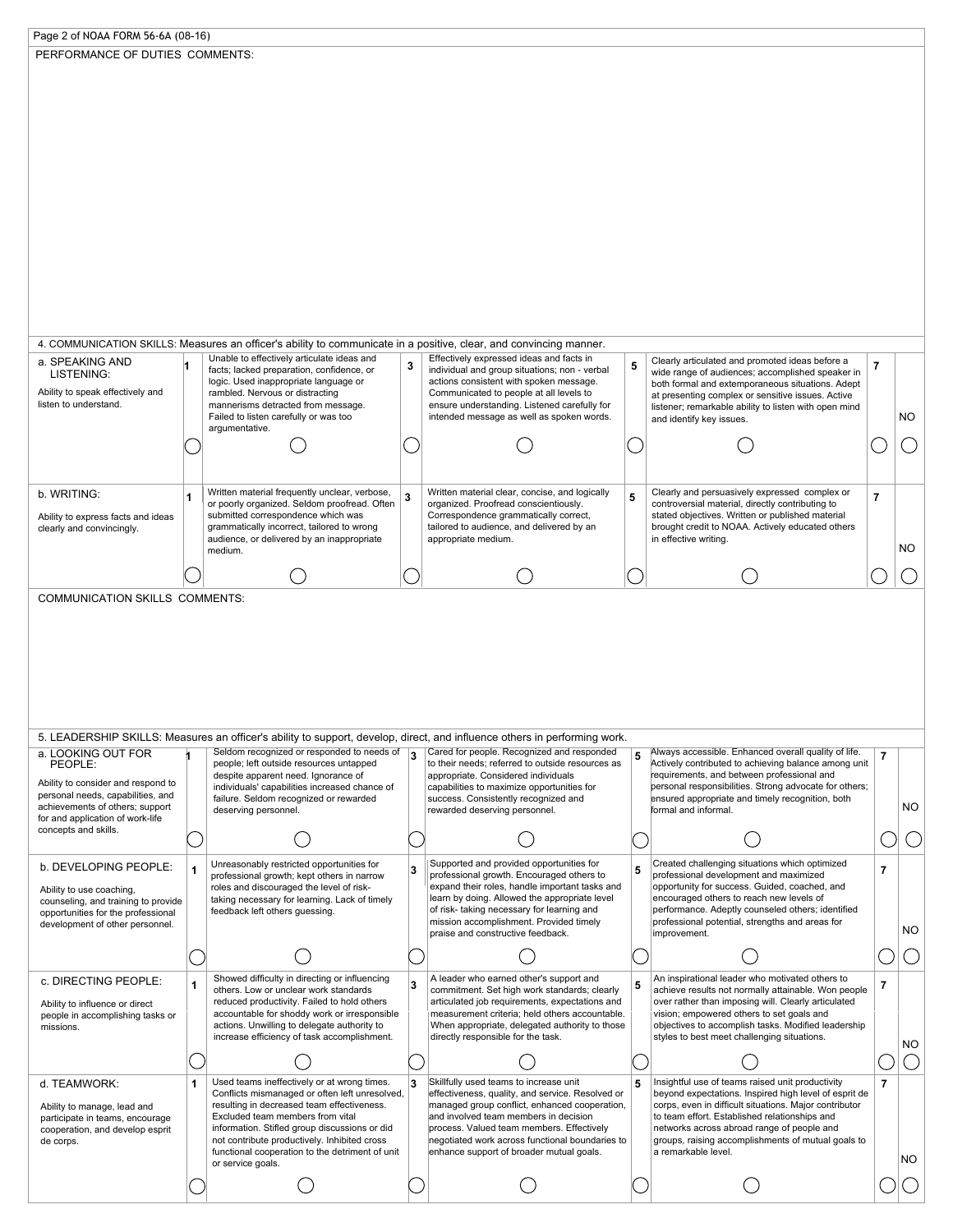| Page 2 of NOAA FORM 56-6A (08-16)<br>PERFORMANCE OF DUTIES COMMENTS:                                                                                                                                                                                                                                                                                                                                                                                                                                                                                                                              |              |                                                                                                                                                                  |     |                                                                                                                                                                         |   |                                                                                                            |                |                               |
|---------------------------------------------------------------------------------------------------------------------------------------------------------------------------------------------------------------------------------------------------------------------------------------------------------------------------------------------------------------------------------------------------------------------------------------------------------------------------------------------------------------------------------------------------------------------------------------------------|--------------|------------------------------------------------------------------------------------------------------------------------------------------------------------------|-----|-------------------------------------------------------------------------------------------------------------------------------------------------------------------------|---|------------------------------------------------------------------------------------------------------------|----------------|-------------------------------|
|                                                                                                                                                                                                                                                                                                                                                                                                                                                                                                                                                                                                   |              |                                                                                                                                                                  |     |                                                                                                                                                                         |   |                                                                                                            |                |                               |
|                                                                                                                                                                                                                                                                                                                                                                                                                                                                                                                                                                                                   |              |                                                                                                                                                                  |     |                                                                                                                                                                         |   |                                                                                                            |                |                               |
|                                                                                                                                                                                                                                                                                                                                                                                                                                                                                                                                                                                                   |              |                                                                                                                                                                  |     |                                                                                                                                                                         |   |                                                                                                            |                |                               |
|                                                                                                                                                                                                                                                                                                                                                                                                                                                                                                                                                                                                   |              |                                                                                                                                                                  |     |                                                                                                                                                                         |   |                                                                                                            |                |                               |
|                                                                                                                                                                                                                                                                                                                                                                                                                                                                                                                                                                                                   |              |                                                                                                                                                                  |     |                                                                                                                                                                         |   |                                                                                                            |                |                               |
|                                                                                                                                                                                                                                                                                                                                                                                                                                                                                                                                                                                                   |              |                                                                                                                                                                  |     |                                                                                                                                                                         |   |                                                                                                            |                |                               |
|                                                                                                                                                                                                                                                                                                                                                                                                                                                                                                                                                                                                   |              |                                                                                                                                                                  |     |                                                                                                                                                                         |   |                                                                                                            |                |                               |
|                                                                                                                                                                                                                                                                                                                                                                                                                                                                                                                                                                                                   |              |                                                                                                                                                                  |     |                                                                                                                                                                         |   |                                                                                                            |                |                               |
|                                                                                                                                                                                                                                                                                                                                                                                                                                                                                                                                                                                                   |              |                                                                                                                                                                  |     |                                                                                                                                                                         |   |                                                                                                            |                |                               |
|                                                                                                                                                                                                                                                                                                                                                                                                                                                                                                                                                                                                   |              |                                                                                                                                                                  |     |                                                                                                                                                                         |   |                                                                                                            |                |                               |
|                                                                                                                                                                                                                                                                                                                                                                                                                                                                                                                                                                                                   |              |                                                                                                                                                                  |     |                                                                                                                                                                         |   |                                                                                                            |                |                               |
|                                                                                                                                                                                                                                                                                                                                                                                                                                                                                                                                                                                                   |              |                                                                                                                                                                  |     |                                                                                                                                                                         |   |                                                                                                            |                |                               |
|                                                                                                                                                                                                                                                                                                                                                                                                                                                                                                                                                                                                   |              |                                                                                                                                                                  |     |                                                                                                                                                                         |   |                                                                                                            |                |                               |
|                                                                                                                                                                                                                                                                                                                                                                                                                                                                                                                                                                                                   |              |                                                                                                                                                                  |     |                                                                                                                                                                         |   |                                                                                                            |                |                               |
|                                                                                                                                                                                                                                                                                                                                                                                                                                                                                                                                                                                                   |              |                                                                                                                                                                  |     |                                                                                                                                                                         |   |                                                                                                            |                |                               |
|                                                                                                                                                                                                                                                                                                                                                                                                                                                                                                                                                                                                   |              | 4. COMMUNICATION SKILLS: Measures an officer's ability to communicate in a positive, clear, and convincing manner.<br>Unable to effectively articulate ideas and |     | Effectively expressed ideas and facts in                                                                                                                                |   |                                                                                                            |                |                               |
| a. SPEAKING AND<br>LISTENING:                                                                                                                                                                                                                                                                                                                                                                                                                                                                                                                                                                     |              | facts; lacked preparation, confidence, or                                                                                                                        | 3   | individual and group situations; non - verbal                                                                                                                           | 5 | Clearly articulated and promoted ideas before a<br>wide range of audiences; accomplished speaker in        | $\overline{7}$ |                               |
| Ability to speak effectively and                                                                                                                                                                                                                                                                                                                                                                                                                                                                                                                                                                  |              | logic. Used inappropriate language or<br>rambled. Nervous or distracting                                                                                         |     | actions consistent with spoken message.<br>Communicated to people at all levels to                                                                                      |   | both formal and extemporaneous situations. Adept<br>at presenting complex or sensitive issues. Active      |                |                               |
| listen to understand.                                                                                                                                                                                                                                                                                                                                                                                                                                                                                                                                                                             |              | mannerisms detracted from message.<br>Failed to listen carefully or was too                                                                                      |     | ensure understanding. Listened carefully for<br>intended message as well as spoken words.                                                                               |   | listener; remarkable ability to listen with open mind                                                      |                | NO                            |
|                                                                                                                                                                                                                                                                                                                                                                                                                                                                                                                                                                                                   |              | argumentative.                                                                                                                                                   |     |                                                                                                                                                                         |   | and identify key issues.                                                                                   |                |                               |
|                                                                                                                                                                                                                                                                                                                                                                                                                                                                                                                                                                                                   |              |                                                                                                                                                                  |     |                                                                                                                                                                         |   |                                                                                                            |                |                               |
|                                                                                                                                                                                                                                                                                                                                                                                                                                                                                                                                                                                                   |              |                                                                                                                                                                  |     |                                                                                                                                                                         |   |                                                                                                            |                |                               |
| b. WRITING:                                                                                                                                                                                                                                                                                                                                                                                                                                                                                                                                                                                       |              | Written material frequently unclear, verbose,                                                                                                                    |     | Written material clear, concise, and logically                                                                                                                          |   | Clearly and persuasively expressed complex or                                                              |                |                               |
|                                                                                                                                                                                                                                                                                                                                                                                                                                                                                                                                                                                                   | 1            | or poorly organized. Seldom proofread. Often                                                                                                                     | 3   | organized. Proofread conscientiously.                                                                                                                                   | 5 | controversial material, directly contributing to                                                           | $\overline{7}$ |                               |
| Ability to express facts and ideas<br>clearly and convincingly.                                                                                                                                                                                                                                                                                                                                                                                                                                                                                                                                   |              | submitted correspondence which was<br>grammatically incorrect, tailored to wrong                                                                                 |     | Correspondence grammatically correct,<br>tailored to audience, and delivered by an                                                                                      |   | stated objectives. Written or published material<br>brought credit to NOAA. Actively educated others       |                |                               |
|                                                                                                                                                                                                                                                                                                                                                                                                                                                                                                                                                                                                   |              | audience, or delivered by an inappropriate<br>medium.                                                                                                            |     | appropriate medium.                                                                                                                                                     |   | in effective writing.                                                                                      |                | NO                            |
|                                                                                                                                                                                                                                                                                                                                                                                                                                                                                                                                                                                                   |              |                                                                                                                                                                  |     |                                                                                                                                                                         |   |                                                                                                            |                |                               |
|                                                                                                                                                                                                                                                                                                                                                                                                                                                                                                                                                                                                   |              |                                                                                                                                                                  |     |                                                                                                                                                                         |   |                                                                                                            |                |                               |
|                                                                                                                                                                                                                                                                                                                                                                                                                                                                                                                                                                                                   |              |                                                                                                                                                                  |     |                                                                                                                                                                         |   |                                                                                                            |                |                               |
|                                                                                                                                                                                                                                                                                                                                                                                                                                                                                                                                                                                                   |              |                                                                                                                                                                  |     |                                                                                                                                                                         |   |                                                                                                            |                |                               |
|                                                                                                                                                                                                                                                                                                                                                                                                                                                                                                                                                                                                   |              |                                                                                                                                                                  |     |                                                                                                                                                                         |   |                                                                                                            |                |                               |
|                                                                                                                                                                                                                                                                                                                                                                                                                                                                                                                                                                                                   |              | Seldom recognized or responded to needs of                                                                                                                       | ∣ ৽ | 5. LEADERSHIP SKILLS: Measures an officer's ability to support, develop, direct, and influence others in performing work.<br>Cared for people. Recognized and responded |   | Always accessible. Enhanced overall quality of life.                                                       |                |                               |
| PEOPLE:                                                                                                                                                                                                                                                                                                                                                                                                                                                                                                                                                                                           |              | people; left outside resources untapped                                                                                                                          |     | to their needs; referred to outside resources as                                                                                                                        | 5 | Actively contributed to achieving balance among unit                                                       | $\overline{7}$ |                               |
|                                                                                                                                                                                                                                                                                                                                                                                                                                                                                                                                                                                                   |              | despite apparent need. Ignorance of<br>individuals' capabilities increased chance of                                                                             |     | appropriate. Considered individuals<br>capabilities to maximize opportunities for                                                                                       |   | requirements, and between professional and<br>personal responsibilities. Strong advocate for others;       |                |                               |
|                                                                                                                                                                                                                                                                                                                                                                                                                                                                                                                                                                                                   |              | failure. Seldom recognized or rewarded<br>deserving personnel.                                                                                                   |     | success. Consistently recognized and<br>rewarded deserving personnel.                                                                                                   |   | ensured appropriate and timely recognition, both<br>formal and informal.                                   |                |                               |
|                                                                                                                                                                                                                                                                                                                                                                                                                                                                                                                                                                                                   |              |                                                                                                                                                                  |     |                                                                                                                                                                         |   |                                                                                                            |                |                               |
|                                                                                                                                                                                                                                                                                                                                                                                                                                                                                                                                                                                                   |              |                                                                                                                                                                  |     |                                                                                                                                                                         |   |                                                                                                            |                |                               |
|                                                                                                                                                                                                                                                                                                                                                                                                                                                                                                                                                                                                   | $\mathbf{1}$ | Unreasonably restricted opportunities for                                                                                                                        | 3   | Supported and provided opportunities for                                                                                                                                | 5 | Created challenging situations which optimized                                                             | 7              |                               |
|                                                                                                                                                                                                                                                                                                                                                                                                                                                                                                                                                                                                   |              | professional growth; kept others in narrow<br>roles and discouraged the level of risk-                                                                           |     | professional growth. Encouraged others to<br>expand their roles, handle important tasks and                                                                             |   | professional development and maximized<br>opportunity for success. Guided, coached, and                    |                |                               |
|                                                                                                                                                                                                                                                                                                                                                                                                                                                                                                                                                                                                   |              | taking necessary for learning. Lack of timely                                                                                                                    |     | learn by doing. Allowed the appropriate level                                                                                                                           |   | encouraged others to reach new levels of                                                                   |                |                               |
|                                                                                                                                                                                                                                                                                                                                                                                                                                                                                                                                                                                                   |              | feedback left others guessing.                                                                                                                                   |     | of risk- taking necessary for learning and<br>mission accomplishment. Provided timely                                                                                   |   | performance. Adeptly counseled others; identified<br>professional potential, strengths and areas for       |                |                               |
|                                                                                                                                                                                                                                                                                                                                                                                                                                                                                                                                                                                                   |              |                                                                                                                                                                  |     | praise and constructive feedback.                                                                                                                                       |   | improvement.                                                                                               |                |                               |
|                                                                                                                                                                                                                                                                                                                                                                                                                                                                                                                                                                                                   |              |                                                                                                                                                                  |     |                                                                                                                                                                         |   |                                                                                                            |                |                               |
|                                                                                                                                                                                                                                                                                                                                                                                                                                                                                                                                                                                                   | $\mathbf{1}$ | Showed difficulty in directing or influencing                                                                                                                    | 3   | A leader who earned other's support and                                                                                                                                 |   | An inspirational leader who motivated others to                                                            |                |                               |
|                                                                                                                                                                                                                                                                                                                                                                                                                                                                                                                                                                                                   |              | others. Low or unclear work standards<br>reduced productivity. Failed to hold others                                                                             |     | commitment. Set high work standards; clearly<br>articulated job requirements, expectations and                                                                          | 5 | achieve results not normally attainable. Won people<br>over rather than imposing will. Clearly articulated | 7              |                               |
|                                                                                                                                                                                                                                                                                                                                                                                                                                                                                                                                                                                                   |              | accountable for shoddy work or irresponsible                                                                                                                     |     | measurement criteria; held others accountable.                                                                                                                          |   | vision; empowered others to set goals and                                                                  |                |                               |
|                                                                                                                                                                                                                                                                                                                                                                                                                                                                                                                                                                                                   |              | actions. Unwilling to delegate authority to<br>increase efficiency of task accomplishment.                                                                       |     | When appropriate, delegated authority to those<br>directly responsible for the task.                                                                                    |   | objectives to accomplish tasks. Modified leadership<br>styles to best meet challenging situations.         |                |                               |
|                                                                                                                                                                                                                                                                                                                                                                                                                                                                                                                                                                                                   |              |                                                                                                                                                                  |     |                                                                                                                                                                         |   |                                                                                                            |                |                               |
|                                                                                                                                                                                                                                                                                                                                                                                                                                                                                                                                                                                                   |              |                                                                                                                                                                  |     |                                                                                                                                                                         |   |                                                                                                            |                |                               |
|                                                                                                                                                                                                                                                                                                                                                                                                                                                                                                                                                                                                   | $\mathbf{1}$ | Used teams ineffectively or at wrong times.<br>Conflicts mismanaged or often left unresolved,                                                                    |     | Skillfully used teams to increase unit<br>effectiveness, quality, and service. Resolved or                                                                              | 5 | Insightful use of teams raised unit productivity<br>beyond expectations. Inspired high level of esprit de  | $\overline{7}$ |                               |
|                                                                                                                                                                                                                                                                                                                                                                                                                                                                                                                                                                                                   |              | resulting in decreased team effectiveness.<br>Excluded team members from vital                                                                                   |     | managed group conflict, enhanced cooperation,<br>and involved team members in decision                                                                                  |   | corps, even in difficult situations. Major contributor<br>to team effort. Established relationships and    |                |                               |
| a. LOOKING OUT FOR<br>Ability to consider and respond to<br>personal needs, capabilities, and<br>achievements of others; support<br>for and application of work-life<br>concepts and skills.<br>b. DEVELOPING PEOPLE:<br>Ability to use coaching,<br>counseling, and training to provide<br>opportunities for the professional<br>development of other personnel.<br>c. DIRECTING PEOPLE:<br>Ability to influence or direct<br>people in accomplishing tasks or<br>missions.<br>d. TEAMWORK:<br>Ability to manage, lead and<br>participate in teams, encourage<br>cooperation, and develop esprit |              | information. Stifled group discussions or did                                                                                                                    |     | process. Valued team members. Effectively                                                                                                                               |   | networks across abroad range of people and                                                                 |                | <b>NO</b><br><b>NO</b><br>NO. |
|                                                                                                                                                                                                                                                                                                                                                                                                                                                                                                                                                                                                   |              | not contribute productively. Inhibited cross<br>functional cooperation to the detriment of unit                                                                  |     | negotiated work across functional boundaries to<br>enhance support of broader mutual goals.                                                                             |   | groups, raising accomplishments of mutual goals to<br>a remarkable level.                                  |                |                               |
|                                                                                                                                                                                                                                                                                                                                                                                                                                                                                                                                                                                                   |              | or service goals.                                                                                                                                                |     |                                                                                                                                                                         |   |                                                                                                            |                | NO                            |
| de corps.                                                                                                                                                                                                                                                                                                                                                                                                                                                                                                                                                                                         |              |                                                                                                                                                                  |     |                                                                                                                                                                         |   |                                                                                                            |                |                               |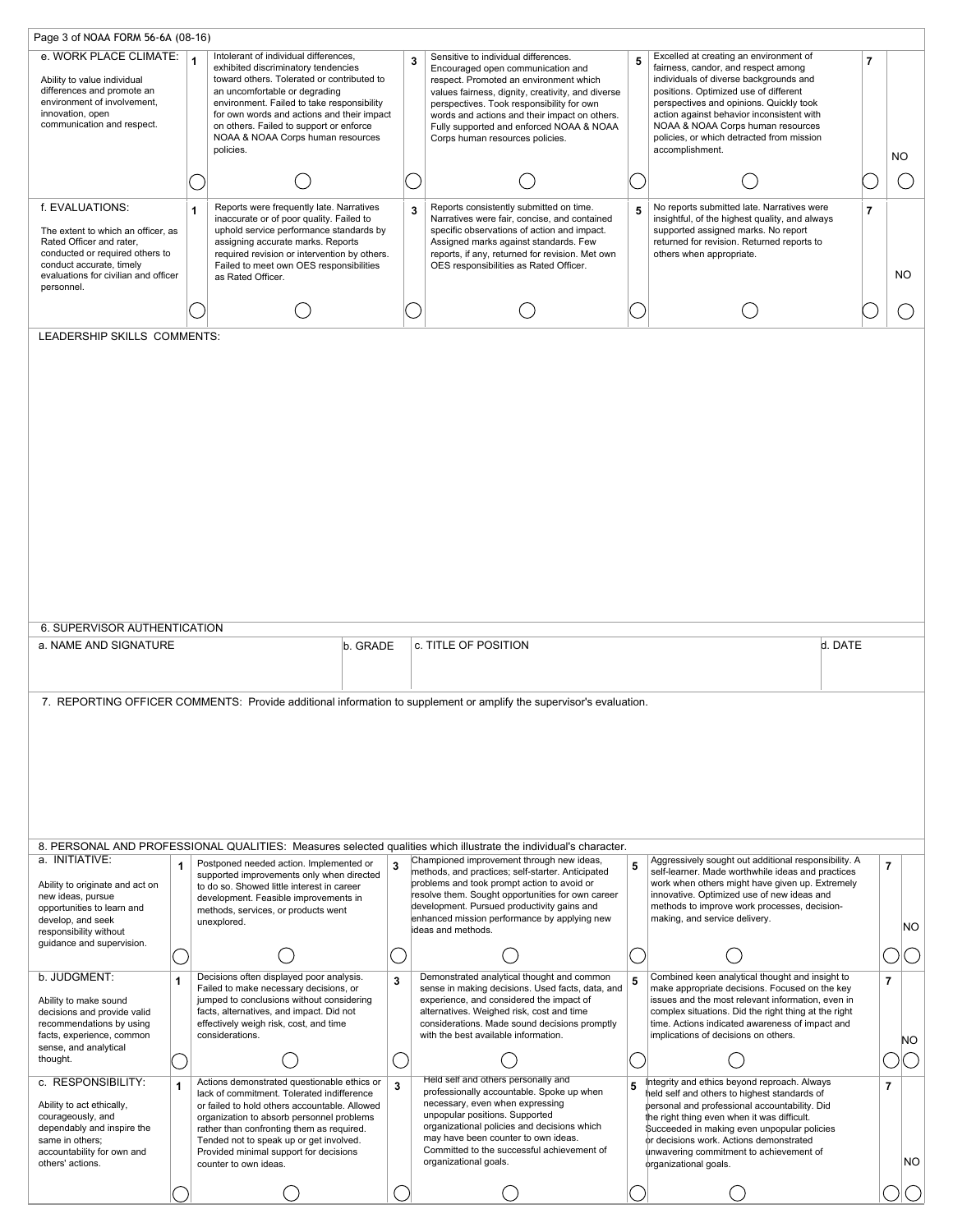|                                                                                                                                                                                                        |              | Page 3 of NOAA FORM 56-6A (08-16)                                                                                                                                                                                                                                                                                                                                    |              |   |                                                                                                                                                                                                                                                                                                                                                       |   |                                                                                                                                                                                                                                                                                                                                                               |                          |                |           |
|--------------------------------------------------------------------------------------------------------------------------------------------------------------------------------------------------------|--------------|----------------------------------------------------------------------------------------------------------------------------------------------------------------------------------------------------------------------------------------------------------------------------------------------------------------------------------------------------------------------|--------------|---|-------------------------------------------------------------------------------------------------------------------------------------------------------------------------------------------------------------------------------------------------------------------------------------------------------------------------------------------------------|---|---------------------------------------------------------------------------------------------------------------------------------------------------------------------------------------------------------------------------------------------------------------------------------------------------------------------------------------------------------------|--------------------------|----------------|-----------|
| e. WORK PLACE CLIMATE:<br>Ability to value individual<br>differences and promote an<br>environment of involvement,<br>innovation, open<br>communication and respect.                                   |              | Intolerant of individual differences,<br>$\mathbf{1}$<br>exhibited discriminatory tendencies<br>toward others. Tolerated or contributed to<br>an uncomfortable or degrading<br>environment. Failed to take responsibility<br>for own words and actions and their impact<br>on others. Failed to support or enforce<br>NOAA & NOAA Corps human resources<br>policies. |              | 3 | Sensitive to individual differences.<br>Encouraged open communication and<br>respect. Promoted an environment which<br>values fairness, dignity, creativity, and diverse<br>perspectives. Took responsibility for own<br>words and actions and their impact on others.<br>Fully supported and enforced NOAA & NOAA<br>Corps human resources policies. | 5 | Excelled at creating an environment of<br>fairness, candor, and respect among<br>individuals of diverse backgrounds and<br>positions. Optimized use of different<br>perspectives and opinions. Quickly took<br>action against behavior inconsistent with<br>NOAA & NOAA Corps human resources<br>policies, or which detracted from mission<br>accomplishment. | $\overline{\phantom{a}}$ | NO             |           |
|                                                                                                                                                                                                        |              |                                                                                                                                                                                                                                                                                                                                                                      |              |   |                                                                                                                                                                                                                                                                                                                                                       |   |                                                                                                                                                                                                                                                                                                                                                               |                          |                |           |
|                                                                                                                                                                                                        |              |                                                                                                                                                                                                                                                                                                                                                                      |              |   |                                                                                                                                                                                                                                                                                                                                                       |   |                                                                                                                                                                                                                                                                                                                                                               |                          |                |           |
| f. EVALUATIONS:<br>The extent to which an officer, as<br>Rated Officer and rater,<br>conducted or required others to<br>conduct accurate, timely<br>evaluations for civilian and officer<br>personnel. |              | Reports were frequently late. Narratives<br>$\mathbf{1}$<br>inaccurate or of poor quality. Failed to<br>uphold service performance standards by<br>assigning accurate marks. Reports<br>required revision or intervention by others.<br>Failed to meet own OES responsibilities<br>as Rated Officer.                                                                 |              | 3 | Reports consistently submitted on time.<br>Narratives were fair, concise, and contained<br>specific observations of action and impact.<br>Assigned marks against standards. Few<br>reports, if any, returned for revision. Met own<br>OES responsibilities as Rated Officer.                                                                          | 5 | No reports submitted late. Narratives were<br>insightful, of the highest quality, and always<br>supported assigned marks. No report<br>returned for revision. Returned reports to<br>others when appropriate.                                                                                                                                                 | $\overline{7}$           |                | NO        |
|                                                                                                                                                                                                        |              |                                                                                                                                                                                                                                                                                                                                                                      |              |   |                                                                                                                                                                                                                                                                                                                                                       |   |                                                                                                                                                                                                                                                                                                                                                               |                          |                |           |
| LEADERSHIP SKILLS COMMENTS:                                                                                                                                                                            |              |                                                                                                                                                                                                                                                                                                                                                                      |              |   |                                                                                                                                                                                                                                                                                                                                                       |   |                                                                                                                                                                                                                                                                                                                                                               |                          |                |           |
|                                                                                                                                                                                                        |              |                                                                                                                                                                                                                                                                                                                                                                      |              |   |                                                                                                                                                                                                                                                                                                                                                       |   |                                                                                                                                                                                                                                                                                                                                                               |                          |                |           |
| 6. SUPERVISOR AUTHENTICATION<br>a. NAME AND SIGNATURE                                                                                                                                                  |              |                                                                                                                                                                                                                                                                                                                                                                      | b. GRADE     |   | c. TITLE OF POSITION                                                                                                                                                                                                                                                                                                                                  |   | d. DATE                                                                                                                                                                                                                                                                                                                                                       |                          |                |           |
|                                                                                                                                                                                                        |              |                                                                                                                                                                                                                                                                                                                                                                      |              |   | 7. REPORTING OFFICER COMMENTS: Provide additional information to supplement or amplify the supervisor's evaluation.                                                                                                                                                                                                                                   |   |                                                                                                                                                                                                                                                                                                                                                               |                          |                |           |
|                                                                                                                                                                                                        |              |                                                                                                                                                                                                                                                                                                                                                                      |              |   | 8. PERSONAL AND PROFESSIONAL QUALITIES: Measures selected qualities which illustrate the individual's character.                                                                                                                                                                                                                                      |   |                                                                                                                                                                                                                                                                                                                                                               |                          |                |           |
| a. INITIATIVE:<br>Ability to originate and act on<br>new ideas, pursue<br>opportunities to learn and<br>develop, and seek<br>responsibility without                                                    | 1            | Postponed needed action. Implemented or<br>supported improvements only when directed<br>to do so. Showed little interest in career<br>development. Feasible improvements in<br>methods, services, or products went<br>unexplored.                                                                                                                                    | 3            |   | Championed improvement through new ideas,<br>methods, and practices; self-starter. Anticipated<br>problems and took prompt action to avoid or<br>resolve them. Sought opportunities for own career<br>development. Pursued productivity gains and<br>enhanced mission performance by applying new<br>ideas and methods.                               | 5 | Aggressively sought out additional responsibility. A<br>self-learner. Made worthwhile ideas and practices<br>work when others might have given up. Extremely<br>innovative. Optimized use of new ideas and<br>methods to improve work processes, decision-<br>making, and service delivery.                                                                   |                          | $\overline{7}$ | <b>NO</b> |
| guidance and supervision.                                                                                                                                                                              |              |                                                                                                                                                                                                                                                                                                                                                                      |              |   |                                                                                                                                                                                                                                                                                                                                                       |   |                                                                                                                                                                                                                                                                                                                                                               |                          |                |           |
| b. JUDGMENT:                                                                                                                                                                                           |              | Decisions often displayed poor analysis.                                                                                                                                                                                                                                                                                                                             | 3            |   | Demonstrated analytical thought and common                                                                                                                                                                                                                                                                                                            | 5 | Combined keen analytical thought and insight to                                                                                                                                                                                                                                                                                                               |                          | $\overline{7}$ |           |
| Ability to make sound<br>decisions and provide valid<br>recommendations by using<br>facts, experience, common<br>sense, and analytical                                                                 |              | Failed to make necessary decisions, or<br>jumped to conclusions without considering<br>facts, alternatives, and impact. Did not<br>effectively weigh risk, cost, and time<br>considerations.                                                                                                                                                                         |              |   | sense in making decisions. Used facts, data, and<br>experience, and considered the impact of<br>alternatives. Weighed risk, cost and time<br>considerations. Made sound decisions promptly<br>with the best available information.                                                                                                                    |   | make appropriate decisions. Focused on the key<br>issues and the most relevant information, even in<br>complex situations. Did the right thing at the right<br>time. Actions indicated awareness of impact and<br>implications of decisions on others.                                                                                                        |                          |                | <b>NO</b> |
| thought.                                                                                                                                                                                               |              |                                                                                                                                                                                                                                                                                                                                                                      |              |   |                                                                                                                                                                                                                                                                                                                                                       |   |                                                                                                                                                                                                                                                                                                                                                               |                          |                |           |
| c. RESPONSIBILITY:<br>Ability to act ethically,<br>courageously, and<br>dependably and inspire the<br>same in others:<br>accountability for own and<br>others' actions.                                | $\mathbf{1}$ | Actions demonstrated questionable ethics or<br>lack of commitment. Tolerated indifference<br>or failed to hold others accountable. Allowed<br>organization to absorb personnel problems<br>rather than confronting them as required.<br>Tended not to speak up or get involved.<br>Provided minimal support for decisions<br>counter to own ideas.                   | $\mathbf{3}$ |   | Held self and others personally and<br>professionally accountable. Spoke up when<br>necessary, even when expressing<br>unpopular positions. Supported<br>organizational policies and decisions which<br>may have been counter to own ideas.<br>Committed to the successful achievement of<br>organizational goals.                                    | 5 | Integrity and ethics beyond reproach. Always<br>held self and others to highest standards of<br>personal and professional accountability. Did<br>the right thing even when it was difficult.<br>Succeeded in making even unpopular policies<br>or decisions work. Actions demonstrated<br>unwavering commitment to achievement of<br>organizational goals.    |                          | $\overline{7}$ | NO.       |
|                                                                                                                                                                                                        |              |                                                                                                                                                                                                                                                                                                                                                                      |              |   |                                                                                                                                                                                                                                                                                                                                                       |   |                                                                                                                                                                                                                                                                                                                                                               |                          |                |           |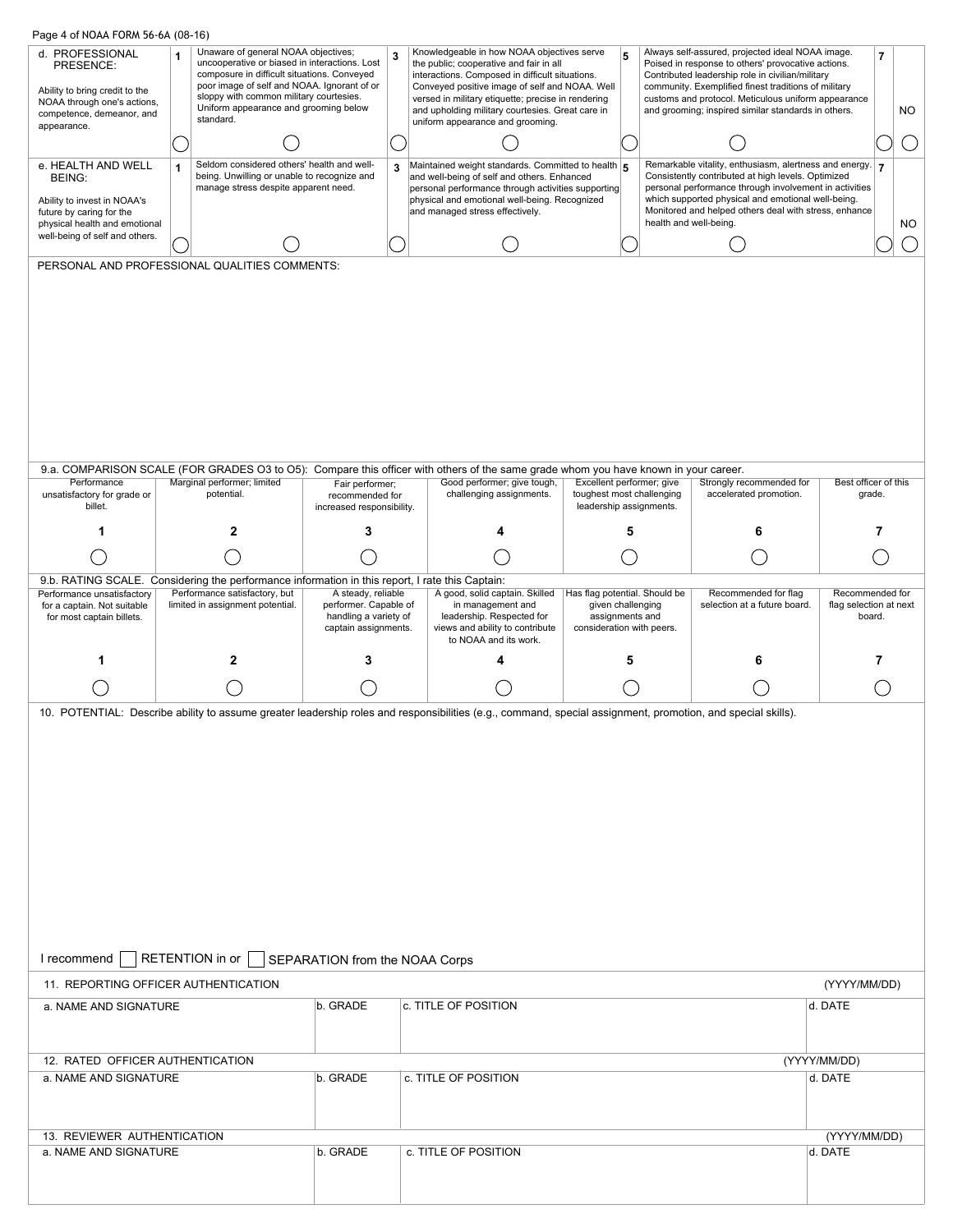| d. PROFESSIONAL<br>1                                                                                                                                        |                                                                                                                                                                                                                                                                        |                                                                                              |   |                                                                                                                                                                                                                                                                                                      |                                                                                                    |   |  |                                                                                                                                                                                                                                                                                                                                  |                                                                                                                                                                                                                                                       |                |    |                |     |
|-------------------------------------------------------------------------------------------------------------------------------------------------------------|------------------------------------------------------------------------------------------------------------------------------------------------------------------------------------------------------------------------------------------------------------------------|----------------------------------------------------------------------------------------------|---|------------------------------------------------------------------------------------------------------------------------------------------------------------------------------------------------------------------------------------------------------------------------------------------------------|----------------------------------------------------------------------------------------------------|---|--|----------------------------------------------------------------------------------------------------------------------------------------------------------------------------------------------------------------------------------------------------------------------------------------------------------------------------------|-------------------------------------------------------------------------------------------------------------------------------------------------------------------------------------------------------------------------------------------------------|----------------|----|----------------|-----|
| PRESENCE:<br>Ability to bring credit to the<br>NOAA through one's actions,                                                                                  | Unaware of general NOAA objectives;<br>uncooperative or biased in interactions. Lost<br>composure in difficult situations. Conveyed<br>poor image of self and NOAA. Ignorant of or<br>sloppy with common military courtesies.<br>Uniform appearance and grooming below |                                                                                              | 3 | Knowledgeable in how NOAA objectives serve<br>the public; cooperative and fair in all<br>interactions. Composed in difficult situations.<br>Conveyed positive image of self and NOAA. Well<br>versed in military etiquette; precise in rendering<br>and upholding military courtesies. Great care in |                                                                                                    | 5 |  | Always self-assured, projected ideal NOAA image.<br>Poised in response to others' provocative actions.<br>Contributed leadership role in civilian/military<br>community. Exemplified finest traditions of military<br>customs and protocol. Meticulous uniform appearance<br>and grooming; inspired similar standards in others. |                                                                                                                                                                                                                                                       | $\overline{7}$ | NO |                |     |
| competence, demeanor, and<br>appearance.                                                                                                                    | standard.                                                                                                                                                                                                                                                              |                                                                                              |   | uniform appearance and grooming.                                                                                                                                                                                                                                                                     |                                                                                                    |   |  |                                                                                                                                                                                                                                                                                                                                  |                                                                                                                                                                                                                                                       |                |    |                |     |
|                                                                                                                                                             |                                                                                                                                                                                                                                                                        |                                                                                              |   |                                                                                                                                                                                                                                                                                                      |                                                                                                    |   |  | Remarkable vitality, enthusiasm, alertness and energy.                                                                                                                                                                                                                                                                           |                                                                                                                                                                                                                                                       |                |    |                |     |
| e. HEALTH AND WELL<br>1<br>BEING:<br>Ability to invest in NOAA's<br>future by caring for the<br>physical health and emotional                               | Seldom considered others' health and well-<br>being. Unwilling or unable to recognize and<br>manage stress despite apparent need.                                                                                                                                      |                                                                                              | 3 | Maintained weight standards. Committed to health<br>and well-being of self and others. Enhanced<br>personal performance through activities supporting<br>physical and emotional well-being. Recognized<br>and managed stress effectively.                                                            |                                                                                                    |   |  |                                                                                                                                                                                                                                                                                                                                  | Consistently contributed at high levels. Optimized<br>personal performance through involvement in activities<br>which supported physical and emotional well-being.<br>Monitored and helped others deal with stress, enhance<br>health and well-being. |                |    | $\overline{7}$ | NO. |
| well-being of self and others.                                                                                                                              |                                                                                                                                                                                                                                                                        |                                                                                              |   |                                                                                                                                                                                                                                                                                                      |                                                                                                    |   |  |                                                                                                                                                                                                                                                                                                                                  |                                                                                                                                                                                                                                                       |                |    |                |     |
| PERSONAL AND PROFESSIONAL QUALITIES COMMENTS:                                                                                                               |                                                                                                                                                                                                                                                                        |                                                                                              |   |                                                                                                                                                                                                                                                                                                      |                                                                                                    |   |  |                                                                                                                                                                                                                                                                                                                                  |                                                                                                                                                                                                                                                       |                |    |                |     |
| Performance                                                                                                                                                 | Marginal performer; limited                                                                                                                                                                                                                                            | Fair performer;                                                                              |   | 9.a. COMPARISON SCALE (FOR GRADES O3 to O5): Compare this officer with others of the same grade whom you have known in your career.<br>Good performer; give tough,                                                                                                                                   | Excellent performer; give                                                                          |   |  | Strongly recommended for                                                                                                                                                                                                                                                                                                         | Best officer of this                                                                                                                                                                                                                                  |                |    |                |     |
| unsatisfactory for grade or<br>billet.                                                                                                                      | potential.                                                                                                                                                                                                                                                             | recommended for<br>increased responsibility.                                                 |   | challenging assignments.                                                                                                                                                                                                                                                                             | toughest most challenging<br>leadership assignments.                                               |   |  | accelerated promotion.                                                                                                                                                                                                                                                                                                           |                                                                                                                                                                                                                                                       | grade.         |    |                |     |
|                                                                                                                                                             | 2                                                                                                                                                                                                                                                                      | 3                                                                                            |   |                                                                                                                                                                                                                                                                                                      |                                                                                                    | 5 |  | 6                                                                                                                                                                                                                                                                                                                                |                                                                                                                                                                                                                                                       | 7              |    |                |     |
|                                                                                                                                                             |                                                                                                                                                                                                                                                                        |                                                                                              |   |                                                                                                                                                                                                                                                                                                      |                                                                                                    |   |  |                                                                                                                                                                                                                                                                                                                                  |                                                                                                                                                                                                                                                       |                |    |                |     |
| 9.b. RATING SCALE. Considering the performance information in this report, I rate this Captain:                                                             |                                                                                                                                                                                                                                                                        |                                                                                              |   |                                                                                                                                                                                                                                                                                                      |                                                                                                    |   |  |                                                                                                                                                                                                                                                                                                                                  |                                                                                                                                                                                                                                                       |                |    |                |     |
| Performance unsatisfactory<br>for a captain. Not suitable<br>for most captain billets.                                                                      | Performance satisfactory, but<br>limited in assignment potential.                                                                                                                                                                                                      | A steady, reliable<br>performer. Capable of<br>handling a variety of<br>captain assignments. |   | A good, solid captain. Skilled<br>in management and<br>leadership. Respected for<br>views and ability to contribute<br>to NOAA and its work.                                                                                                                                                         | Has flag potential. Should be<br>given challenging<br>assignments and<br>consideration with peers. |   |  | Recommended for flag<br>selection at a future board.                                                                                                                                                                                                                                                                             | Recommended for<br>flag selection at next                                                                                                                                                                                                             | board.         |    |                |     |
|                                                                                                                                                             | 2                                                                                                                                                                                                                                                                      |                                                                                              |   |                                                                                                                                                                                                                                                                                                      |                                                                                                    | 5 |  |                                                                                                                                                                                                                                                                                                                                  |                                                                                                                                                                                                                                                       | 7              |    |                |     |
|                                                                                                                                                             |                                                                                                                                                                                                                                                                        |                                                                                              |   |                                                                                                                                                                                                                                                                                                      |                                                                                                    |   |  |                                                                                                                                                                                                                                                                                                                                  |                                                                                                                                                                                                                                                       |                |    |                |     |
| 10. POTENTIAL: Describe ability to assume greater leadership roles and responsibilities (e.g., command, special assignment, promotion, and special skills). |                                                                                                                                                                                                                                                                        |                                                                                              |   |                                                                                                                                                                                                                                                                                                      |                                                                                                    |   |  |                                                                                                                                                                                                                                                                                                                                  |                                                                                                                                                                                                                                                       |                |    |                |     |
| I recommend<br>11. REPORTING OFFICER AUTHENTICATION                                                                                                         | RETENTION in or                                                                                                                                                                                                                                                        | SEPARATION from the NOAA Corps                                                               |   |                                                                                                                                                                                                                                                                                                      |                                                                                                    |   |  |                                                                                                                                                                                                                                                                                                                                  | (YYYY/MM/DD)                                                                                                                                                                                                                                          |                |    |                |     |
| a. NAME AND SIGNATURE                                                                                                                                       |                                                                                                                                                                                                                                                                        | b. GRADE                                                                                     |   | c. TITLE OF POSITION                                                                                                                                                                                                                                                                                 |                                                                                                    |   |  |                                                                                                                                                                                                                                                                                                                                  | d. DATE                                                                                                                                                                                                                                               |                |    |                |     |
|                                                                                                                                                             |                                                                                                                                                                                                                                                                        |                                                                                              |   |                                                                                                                                                                                                                                                                                                      |                                                                                                    |   |  |                                                                                                                                                                                                                                                                                                                                  |                                                                                                                                                                                                                                                       |                |    |                |     |
| 12. RATED OFFICER AUTHENTICATION                                                                                                                            |                                                                                                                                                                                                                                                                        |                                                                                              |   |                                                                                                                                                                                                                                                                                                      |                                                                                                    |   |  |                                                                                                                                                                                                                                                                                                                                  | (YYYY/MM/DD)                                                                                                                                                                                                                                          |                |    |                |     |
| a. NAME AND SIGNATURE                                                                                                                                       |                                                                                                                                                                                                                                                                        | b. GRADE<br>▼                                                                                |   | c. TITLE OF POSITION                                                                                                                                                                                                                                                                                 |                                                                                                    |   |  |                                                                                                                                                                                                                                                                                                                                  | d. DATE                                                                                                                                                                                                                                               |                |    |                |     |
| 13. REVIEWER AUTHENTICATION                                                                                                                                 |                                                                                                                                                                                                                                                                        |                                                                                              |   |                                                                                                                                                                                                                                                                                                      |                                                                                                    |   |  |                                                                                                                                                                                                                                                                                                                                  | (YYYY/MM/DD)                                                                                                                                                                                                                                          |                |    |                |     |
| a. NAME AND SIGNATURE                                                                                                                                       |                                                                                                                                                                                                                                                                        | b. GRADE                                                                                     |   | c. TITLE OF POSITION                                                                                                                                                                                                                                                                                 |                                                                                                    |   |  |                                                                                                                                                                                                                                                                                                                                  | d. DATE                                                                                                                                                                                                                                               |                |    |                |     |